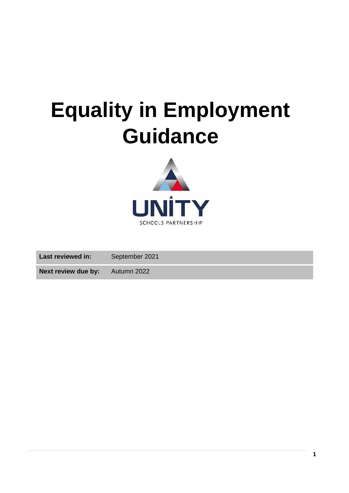# **Equality in Employment Guidance**



**Last reviewed in:** September 2021 **Next review due by:** Autumn 2022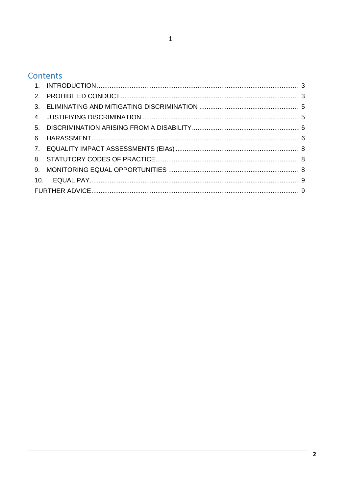## Contents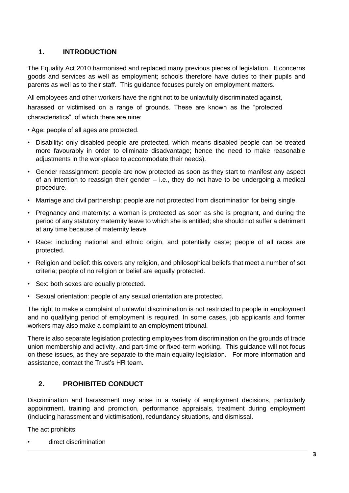## **1. INTRODUCTION**

<span id="page-2-0"></span>The Equality Act 2010 harmonised and replaced many previous pieces of legislation. It concerns goods and services as well as employment; schools therefore have duties to their pupils and parents as well as to their staff. This guidance focuses purely on employment matters.

All employees and other workers have the right not to be unlawfully discriminated against, harassed or victimised on a range of grounds. These are known as the "protected characteristics", of which there are nine:

- Age: people of all ages are protected.
- Disability: only disabled people are protected, which means disabled people can be treated more favourably in order to eliminate disadvantage; hence the need to make reasonable adjustments in the workplace to accommodate their needs).
- Gender reassignment: people are now protected as soon as they start to manifest any aspect of an intention to reassign their gender – i.e., they do not have to be undergoing a medical procedure.
- Marriage and civil partnership: people are not protected from discrimination for being single.
- Pregnancy and maternity: a woman is protected as soon as she is pregnant, and during the period of any statutory maternity leave to which she is entitled; she should not suffer a detriment at any time because of maternity leave.
- Race: including national and ethnic origin, and potentially caste; people of all races are protected.
- Religion and belief: this covers any religion, and philosophical beliefs that meet a number of set criteria; people of no religion or belief are equally protected.
- Sex: both sexes are equally protected.
- Sexual orientation: people of any sexual orientation are protected.

The right to make a complaint of unlawful discrimination is not restricted to people in employment and no qualifying period of employment is required. In some cases, job applicants and former workers may also make a complaint to an employment tribunal.

There is also separate legislation protecting employees from discrimination on the grounds of trade union membership and activity, and part-time or fixed-term working. This guidance will not focus on these issues, as they are separate to the main equality legislation. For more information and assistance, contact the Trust's HR team.

## **2. PROHIBITED CONDUCT**

<span id="page-2-1"></span>Discrimination and harassment may arise in a variety of employment decisions, particularly appointment, training and promotion, performance appraisals, treatment during employment (including harassment and victimisation), redundancy situations, and dismissal.

The act prohibits:

• direct discrimination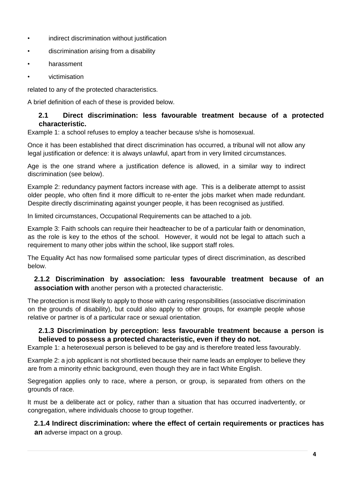- indirect discrimination without justification
- discrimination arising from a disability
- harassment
- victimisation

related to any of the protected characteristics.

A brief definition of each of these is provided below.

## **2.1 Direct discrimination: less favourable treatment because of a protected characteristic.**

Example 1: a school refuses to employ a teacher because s/she is homosexual.

Once it has been established that direct discrimination has occurred, a tribunal will not allow any legal justification or defence: it is always unlawful, apart from in very limited circumstances.

Age is the one strand where a justification defence is allowed, in a similar way to indirect discrimination (see below).

Example 2: redundancy payment factors increase with age. This is a deliberate attempt to assist older people, who often find it more difficult to re-enter the jobs market when made redundant. Despite directly discriminating against younger people, it has been recognised as justified.

In limited circumstances, Occupational Requirements can be attached to a job.

Example 3: Faith schools can require their headteacher to be of a particular faith or denomination, as the role is key to the ethos of the school. However, it would not be legal to attach such a requirement to many other jobs within the school, like support staff roles.

The Equality Act has now formalised some particular types of direct discrimination, as described below.

## **2.1.2 Discrimination by association: less favourable treatment because of an association with** another person with a protected characteristic.

The protection is most likely to apply to those with caring responsibilities (associative discrimination on the grounds of disability), but could also apply to other groups, for example people whose relative or partner is of a particular race or sexual orientation.

## **2.1.3 Discrimination by perception: less favourable treatment because a person is believed to possess a protected characteristic, even if they do not.**

Example 1: a heterosexual person is believed to be gay and is therefore treated less favourably.

Example 2: a job applicant is not shortlisted because their name leads an employer to believe they are from a minority ethnic background, even though they are in fact White English.

Segregation applies only to race, where a person, or group, is separated from others on the grounds of race.

It must be a deliberate act or policy, rather than a situation that has occurred inadvertently, or congregation, where individuals choose to group together.

**2.1.4 Indirect discrimination: where the effect of certain requirements or practices has an** adverse impact on a group.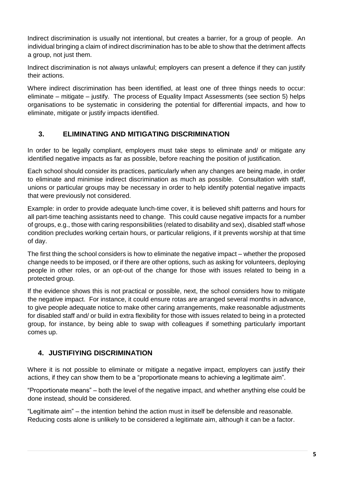Indirect discrimination is usually not intentional, but creates a barrier, for a group of people. An individual bringing a claim of indirect discrimination has to be able to show that the detriment affects a group, not just them.

Indirect discrimination is not always unlawful; employers can present a defence if they can justify their actions.

Where indirect discrimination has been identified, at least one of three things needs to occur: eliminate – mitigate – justify. The process of Equality Impact Assessments (see section 5) helps organisations to be systematic in considering the potential for differential impacts, and how to eliminate, mitigate or justify impacts identified.

## **3. ELIMINATING AND MITIGATING DISCRIMINATION**

<span id="page-4-0"></span>In order to be legally compliant, employers must take steps to eliminate and/ or mitigate any identified negative impacts as far as possible, before reaching the position of justification.

Each school should consider its practices, particularly when any changes are being made, in order to eliminate and minimise indirect discrimination as much as possible. Consultation with staff, unions or particular groups may be necessary in order to help identify potential negative impacts that were previously not considered.

Example: in order to provide adequate lunch-time cover, it is believed shift patterns and hours for all part-time teaching assistants need to change. This could cause negative impacts for a number of groups, e.g., those with caring responsibilities (related to disability and sex), disabled staff whose condition precludes working certain hours, or particular religions, if it prevents worship at that time of day.

The first thing the school considers is how to eliminate the negative impact – whether the proposed change needs to be imposed, or if there are other options, such as asking for volunteers, deploying people in other roles, or an opt-out of the change for those with issues related to being in a protected group.

If the evidence shows this is not practical or possible, next, the school considers how to mitigate the negative impact. For instance, it could ensure rotas are arranged several months in advance, to give people adequate notice to make other caring arrangements, make reasonable adjustments for disabled staff and/ or build in extra flexibility for those with issues related to being in a protected group, for instance, by being able to swap with colleagues if something particularly important comes up.

#### <span id="page-4-1"></span>**4. JUSTIFIYING DISCRIMINATION**

Where it is not possible to eliminate or mitigate a negative impact, employers can justify their actions, if they can show them to be a "proportionate means to achieving a legitimate aim".

"Proportionate means" – both the level of the negative impact, and whether anything else could be done instead, should be considered.

"Legitimate aim" – the intention behind the action must in itself be defensible and reasonable. Reducing costs alone is unlikely to be considered a legitimate aim, although it can be a factor.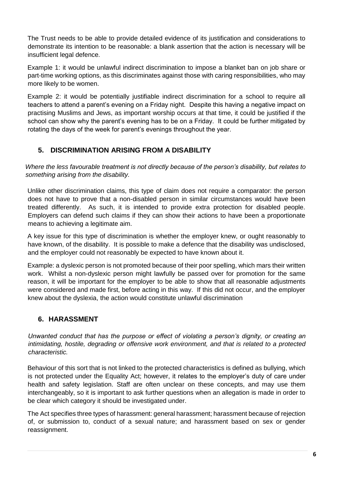The Trust needs to be able to provide detailed evidence of its justification and considerations to demonstrate its intention to be reasonable: a blank assertion that the action is necessary will be insufficient legal defence.

Example 1: it would be unlawful indirect discrimination to impose a blanket ban on job share or part-time working options, as this discriminates against those with caring responsibilities, who may more likely to be women.

Example 2: it would be potentially justifiable indirect discrimination for a school to require all teachers to attend a parent's evening on a Friday night. Despite this having a negative impact on practising Muslims and Jews, as important worship occurs at that time, it could be justified if the school can show why the parent's evening has to be on a Friday. It could be further mitigated by rotating the days of the week for parent's evenings throughout the year.

## **5. DISCRIMINATION ARISING FROM A DISABILITY**

<span id="page-5-0"></span>*Where the less favourable treatment is not directly because of the person's disability, but relates to something arising from the disability.* 

Unlike other discrimination claims, this type of claim does not require a comparator: the person does not have to prove that a non-disabled person in similar circumstances would have been treated differently. As such, it is intended to provide extra protection for disabled people. Employers can defend such claims if they can show their actions to have been a proportionate means to achieving a legitimate aim.

A key issue for this type of discrimination is whether the employer knew, or ought reasonably to have known, of the disability. It is possible to make a defence that the disability was undisclosed, and the employer could not reasonably be expected to have known about it.

Example: a dyslexic person is not promoted because of their poor spelling, which mars their written work. Whilst a non-dyslexic person might lawfully be passed over for promotion for the same reason, it will be important for the employer to be able to show that all reasonable adjustments were considered and made first, before acting in this way. If this did not occur, and the employer knew about the dyslexia, the action would constitute unlawful discrimination

## <span id="page-5-1"></span>**6. HARASSMENT**

*Unwanted conduct that has the purpose or effect of violating a person's dignity, or creating an intimidating, hostile, degrading or offensive work environment, and that is related to a protected characteristic.* 

Behaviour of this sort that is not linked to the protected characteristics is defined as bullying, which is not protected under the Equality Act; however, it relates to the employer's duty of care under health and safety legislation. Staff are often unclear on these concepts, and may use them interchangeably, so it is important to ask further questions when an allegation is made in order to be clear which category it should be investigated under.

The Act specifies three types of harassment: general harassment; harassment because of rejection of, or submission to, conduct of a sexual nature; and harassment based on sex or gender reassignment.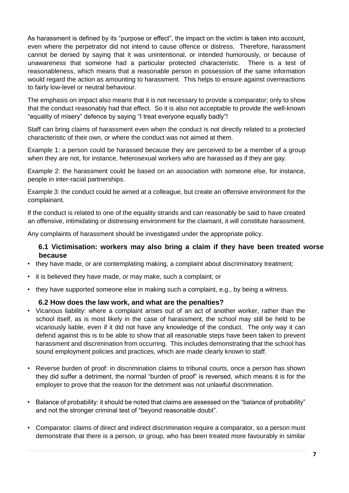As harassment is defined by its "purpose or effect", the impact on the victim is taken into account, even where the perpetrator did not intend to cause offence or distress. Therefore, harassment cannot be denied by saying that it was unintentional, or intended humorously, or because of unawareness that someone had a particular protected characteristic. There is a test of reasonableness, which means that a reasonable person in possession of the same information would regard the action as amounting to harassment. This helps to ensure against overreactions to fairly low-level or neutral behaviour.

The emphasis on impact also means that it is not necessary to provide a comparator; only to show that the conduct reasonably had that effect. So it is also not acceptable to provide the well-known "equality of misery" defence by saying "I treat everyone equally badly"!

Staff can bring claims of harassment even when the conduct is not directly related to a protected characteristic of their own, or where the conduct was not aimed at them.

Example 1: a person could be harassed because they are perceived to be a member of a group when they are not, for instance, heterosexual workers who are harassed as if they are gay.

Example 2: the harassment could be based on an association with someone else, for instance, people in inter-racial partnerships.

Example 3: the conduct could be aimed at a colleague, but create an offensive environment for the complainant.

If the conduct is related to one of the equality strands and can reasonably be said to have created an offensive, intimidating or distressing environment for the claimant, it will constitute harassment.

Any complaints of harassment should be investigated under the appropriate policy.

#### **6.1 Victimisation: workers may also bring a claim if they have been treated worse because**

- they have made, or are contemplating making, a complaint about discriminatory treatment;
- it is believed they have made, or may make, such a complaint; or
- they have supported someone else in making such a complaint, e.g., by being a witness.

#### **6.2 How does the law work, and what are the penalties?**

- Vicarious liability: where a complaint arises out of an act of another worker, rather than the school itself, as is most likely in the case of harassment, the school may still be held to be vicariously liable, even if it did not have any knowledge of the conduct. The only way it can defend against this is to be able to show that all reasonable steps have been taken to prevent harassment and discrimination from occurring. This includes demonstrating that the school has sound employment policies and practices, which are made clearly known to staff.
- Reverse burden of proof: in discrimination claims to tribunal courts, once a person has shown they did suffer a detriment, the normal "burden of proof" is reversed, which means it is for the employer to prove that the reason for the detriment was not unlawful discrimination.
- Balance of probability: it should be noted that claims are assessed on the "balance of probability" and not the stronger criminal test of "beyond reasonable doubt".
- Comparator: claims of direct and indirect discrimination require a comparator, so a person must demonstrate that there is a person, or group, who has been treated more favourably in similar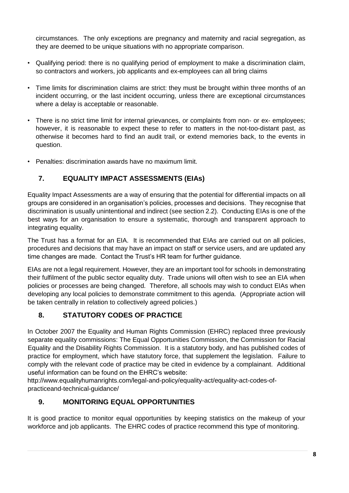circumstances. The only exceptions are pregnancy and maternity and racial segregation, as they are deemed to be unique situations with no appropriate comparison.

- Qualifying period: there is no qualifying period of employment to make a discrimination claim, so contractors and workers, job applicants and ex-employees can all bring claims
- Time limits for discrimination claims are strict: they must be brought within three months of an incident occurring, or the last incident occurring, unless there are exceptional circumstances where a delay is acceptable or reasonable.
- There is no strict time limit for internal grievances, or complaints from non- or ex- employees; however, it is reasonable to expect these to refer to matters in the not-too-distant past, as otherwise it becomes hard to find an audit trail, or extend memories back, to the events in question.
- Penalties: discrimination awards have no maximum limit.

## <span id="page-7-0"></span>**7. EQUALITY IMPACT ASSESSMENTS (EIAs)**

Equality Impact Assessments are a way of ensuring that the potential for differential impacts on all groups are considered in an organisation's policies, processes and decisions. They recognise that discrimination is usually unintentional and indirect (see section 2.2). Conducting EIAs is one of the best ways for an organisation to ensure a systematic, thorough and transparent approach to integrating equality.

The Trust has a format for an EIA. It is recommended that EIAs are carried out on all policies, procedures and decisions that may have an impact on staff or service users, and are updated any time changes are made. Contact the Trust's HR team for further guidance.

EIAs are not a legal requirement. However, they are an important tool for schools in demonstrating their fulfilment of the public sector equality duty. Trade unions will often wish to see an EIA when policies or processes are being changed. Therefore, all schools may wish to conduct EIAs when developing any local policies to demonstrate commitment to this agenda. (Appropriate action will be taken centrally in relation to collectively agreed policies.)

## **8. STATUTORY CODES OF PRACTICE**

<span id="page-7-1"></span>In October 2007 the Equality and Human Rights Commission (EHRC) replaced three previously separate equality commissions: The Equal Opportunities Commission, the Commission for Racial Equality and the Disability Rights Commission. It is a statutory body, and has published codes of practice for employment, which have statutory force, that supplement the legislation. Failure to comply with the relevant code of practice may be cited in evidence by a complainant. Additional useful information can be found on the EHRC's website:

http://www.equalityhumanrights.com/legal-and-policy/equality-act/equality-act-codes-ofpracticeand-technical-guidance/

## <span id="page-7-2"></span>**9. MONITORING EQUAL OPPORTUNITIES**

It is good practice to monitor equal opportunities by keeping statistics on the makeup of your workforce and job applicants. The EHRC codes of practice recommend this type of monitoring.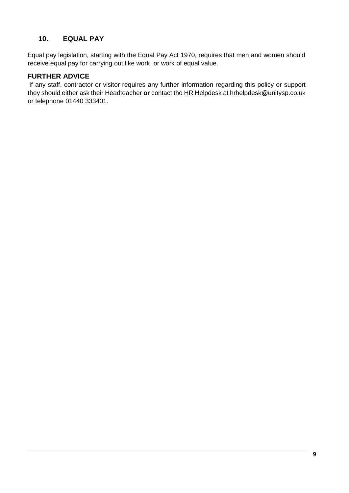## **10. EQUAL PAY**

<span id="page-8-0"></span>Equal pay legislation, starting with the Equal Pay Act 1970, requires that men and women should receive equal pay for carrying out like work, or work of equal value.

## <span id="page-8-1"></span>**FURTHER ADVICE**

If any staff, contractor or visitor requires any further information regarding this policy or support they should either ask their Headteacher **or** contact the HR Helpdesk at hrhelpdesk@unitysp.co.uk or telephone 01440 333401.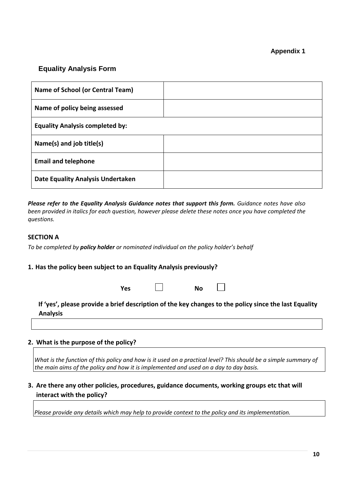#### **Appendix 1**

## **Equality Analysis Form**

| Name of School (or Central Team)         |  |  |  |  |
|------------------------------------------|--|--|--|--|
| Name of policy being assessed            |  |  |  |  |
| <b>Equality Analysis completed by:</b>   |  |  |  |  |
| Name(s) and job title(s)                 |  |  |  |  |
| <b>Email and telephone</b>               |  |  |  |  |
| <b>Date Equality Analysis Undertaken</b> |  |  |  |  |

*Please refer to the Equality Analysis Guidance notes that support this form. Guidance notes have also been provided in italics for each question, however please delete these notes once you have completed the questions.* 

#### **SECTION A**

*To be completed by policy holder or nominated individual on the policy holder's behalf* 

#### **1. Has the policy been subject to an Equality Analysis previously?**

|                                                                                                                          | Yes |  | <b>No</b> |  |  |  |  |  |
|--------------------------------------------------------------------------------------------------------------------------|-----|--|-----------|--|--|--|--|--|
| If 'yes', please provide a brief description of the key changes to the policy since the last Equality<br><b>Analysis</b> |     |  |           |  |  |  |  |  |
|                                                                                                                          |     |  |           |  |  |  |  |  |

#### **2. What is the purpose of the policy?**

What is the function of this policy and how is it used on a practical level? This should be a simple summary of *the main aims of the policy and how it is implemented and used on a day to day basis.* 

## **3. Are there any other policies, procedures, guidance documents, working groups etc that will interact with the policy?**

*Please provide any details which may help to provide context to the policy and its implementation.*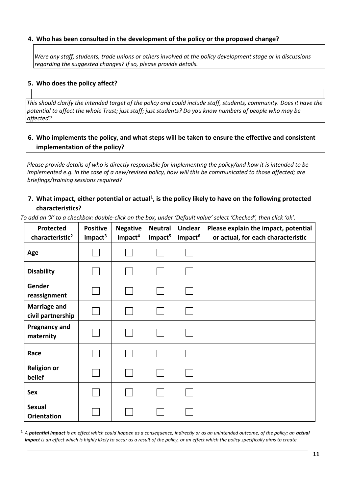#### **4. Who has been consulted in the development of the policy or the proposed change?**

*Were any staff, students, trade unions or others involved at the policy development stage or in discussions regarding the suggested changes? If so, please provide details.* 

#### **5. Who does the policy affect?**

*This should clarify the intended target of the policy and could include staff, students, community. Does it have the potential to affect the whole Trust; just staff; just students? Do you know numbers of people who may be affected?* 

## **6. Who implements the policy, and what steps will be taken to ensure the effective and consistent implementation of the policy?**

*Please provide details of who is directly responsible for implementing the policy/and how it is intended to be implemented e.g. in the case of a new/revised policy, how will this be communicated to those affected; are briefings/training sessions required?* 

## **7. What impact, either potential or actual<sup>1</sup> , is the policy likely to have on the following protected characteristics?**

| Protected<br>characteristic <sup>2</sup> | <b>Positive</b><br>impact <sup>3</sup> | <b>Negative</b><br>impact <sup>4</sup> | <b>Neutral</b><br>impact <sup>5</sup> | <b>Unclear</b><br>impact <sup>6</sup> | Please explain the impact, potential<br>or actual, for each characteristic |
|------------------------------------------|----------------------------------------|----------------------------------------|---------------------------------------|---------------------------------------|----------------------------------------------------------------------------|
| Age                                      |                                        |                                        |                                       |                                       |                                                                            |
| <b>Disability</b>                        |                                        |                                        |                                       |                                       |                                                                            |
| Gender<br>reassignment                   |                                        |                                        |                                       |                                       |                                                                            |
| <b>Marriage and</b><br>civil partnership |                                        |                                        |                                       |                                       |                                                                            |
| <b>Pregnancy and</b><br>maternity        |                                        |                                        |                                       |                                       |                                                                            |
| Race                                     |                                        |                                        |                                       |                                       |                                                                            |
| <b>Religion or</b><br>belief             |                                        |                                        |                                       |                                       |                                                                            |
| <b>Sex</b>                               |                                        |                                        |                                       |                                       |                                                                            |
| <b>Sexual</b><br><b>Orientation</b>      |                                        |                                        |                                       |                                       |                                                                            |

*To add an 'X' to a checkbox: double-click on the box, under 'Default value' select 'Checked', then click 'ok'.* 

<sup>1</sup> A **potential impact** is an effect which could happen as a consequence, indirectly or as an unintended outcome, of the policy; an **actual** *impact is an effect which is highly likely to occur as a result of the policy, or an effect which the policy specifically aims to create.*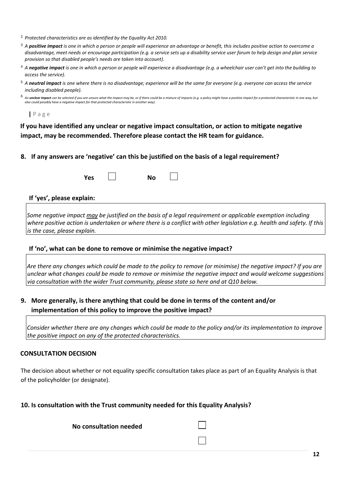- <sup>2</sup> *Protected characteristics are as identified by the Equality Act 2010.*
- <sup>3</sup> *A positive impact is one in which a person or people will experience an advantage or benefit, this includes positive action to overcome a disadvantage, meet needs or encourage participation (e.g. a service sets up a disability service user forum to help design and plan service provision so that disabled people's needs are taken into account).*
- <sup>4</sup> *A negative impact is one in which a person or people will experience a disadvantage (e.g. a wheelchair user can't get into the building to access the service).*
- <sup>5</sup> *A neutral impact is one where there is no disadvantage; experience will be the same for everyone (e.g. everyone can access the service including disabled people).*
- 6 An unclear impact can be selected if you are unsure what the impact may be, or if there could be a mixture of impacts (e.g. a policy might have a positive impact for a protected characteristic in one way, but *also could possibly have a negative impact for that protected characteristic in another way).*

**|** P a g e

**If you have identified any unclear or negative impact consultation, or action to mitigate negative impact, may be recommended. Therefore please contact the HR team for guidance.** 

**8. If any answers are 'negative' can this be justified on the basis of a legal requirement?** 

**If 'yes', please explain:** 

*Some negative impact may be justified on the basis of a legal requirement or applicable exemption including where positive action is undertaken or where there is a conflict with other legislation e.g. health and safety. If this is the case, please explain.* 

#### **If 'no', what can be done to remove or minimise the negative impact?**

*Are there any changes which could be made to the policy to remove (or minimise) the negative impact? If you are unclear what changes could be made to remove or minimise the negative impact and would welcome suggestions via consultation with the wider Trust community, please state so here and at Q10 below.*

#### **9. More generally, is there anything that could be done in terms of the content and/or implementation of this policy to improve the positive impact?**

*Consider whether there are any changes which could be made to the policy and/or its implementation to improve the positive impact on any of the protected characteristics.*

#### **CONSULTATION DECISION**

The decision about whether or not equality specific consultation takes place as part of an Equality Analysis is that of the policyholder (or designate).

#### **10. Is consultation with the Trust community needed for this Equality Analysis?**

**No consultation needed**